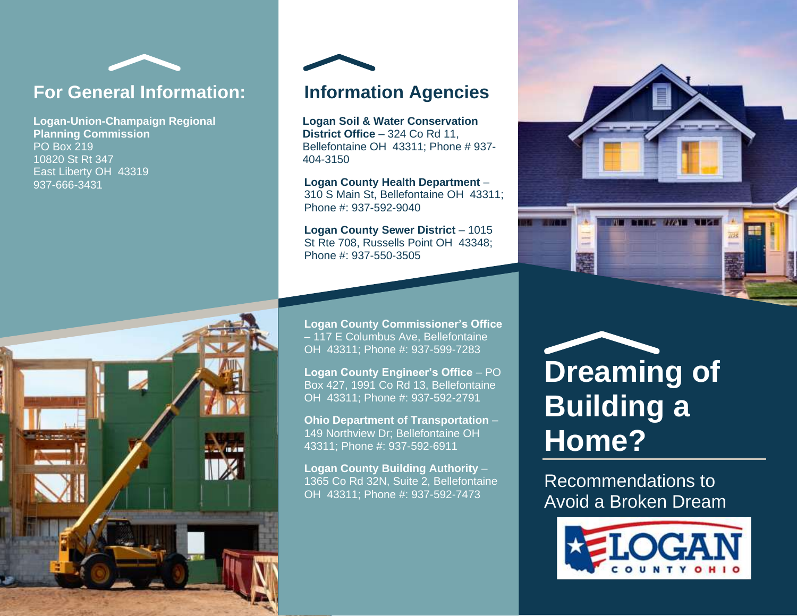

## **For General Information:**

**Logan-Union-Champaign Regional Planning Commission** PO Box 219 10820 St Rt 347 East Liberty OH 43319 937-666-3431





## **Information Agencies**

**Logan Soil & Water Conservation District Office** – 324 Co Rd 11, Bellefontaine OH 43311; Phone # 937- 404-3150

**Logan County Health Department** – 310 S Main St, Bellefontaine OH 43311; Phone #: 937-592-9040

**Logan County Sewer District** – 1015 St Rte 708, Russells Point OH 43348; Phone #: 937-550-3505

**Logan County Commissioner's Office** – 117 E Columbus Ave, Bellefontaine OH 43311; Phone #: 937-599-7283

**Logan County Engineer's Office** – PO Box 427, 1991 Co Rd 13, Bellefontaine OH 43311; Phone #: 937-592-2791

**Ohio Department of Transportation** – 149 Northview Dr; Bellefontaine OH 43311; Phone #: 937-592-6911

**Logan County Building Authority** – 1365 Co Rd 32N, Suite 2, Bellefontaine OH 43311; Phone #: 937-592-7473



## **Dreaming of Building a Home?**

Recommendations to Avoid a Broken Dream